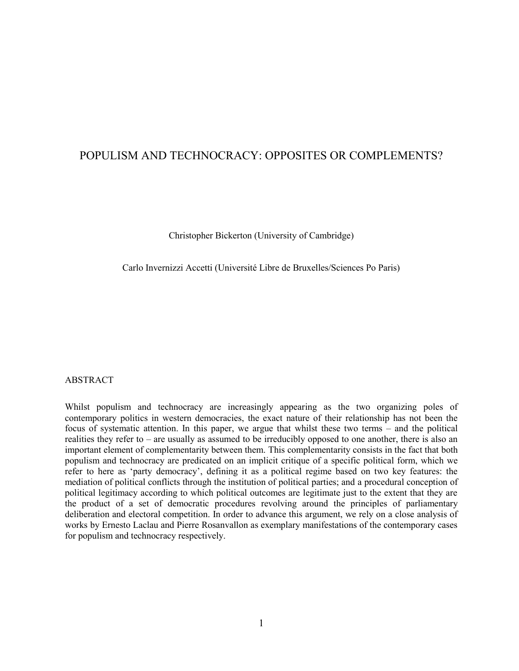## POPULISM AND TECHNOCRACY: OPPOSITES OR COMPLEMENTS?

Christopher Bickerton (University of Cambridge)

Carlo Invernizzi Accetti (Université Libre de Bruxelles/Sciences Po Paris)

#### ABSTRACT

Whilst populism and technocracy are increasingly appearing as the two organizing poles of contemporary politics in western democracies, the exact nature of their relationship has not been the focus of systematic attention. In this paper, we argue that whilst these two terms – and the political realities they refer to – are usually as assumed to be irreducibly opposed to one another, there is also an important element of complementarity between them. This complementarity consists in the fact that both populism and technocracy are predicated on an implicit critique of a specific political form, which we refer to here as "party democracy", defining it as a political regime based on two key features: the mediation of political conflicts through the institution of political parties; and a procedural conception of political legitimacy according to which political outcomes are legitimate just to the extent that they are the product of a set of democratic procedures revolving around the principles of parliamentary deliberation and electoral competition. In order to advance this argument, we rely on a close analysis of works by Ernesto Laclau and Pierre Rosanvallon as exemplary manifestations of the contemporary cases for populism and technocracy respectively.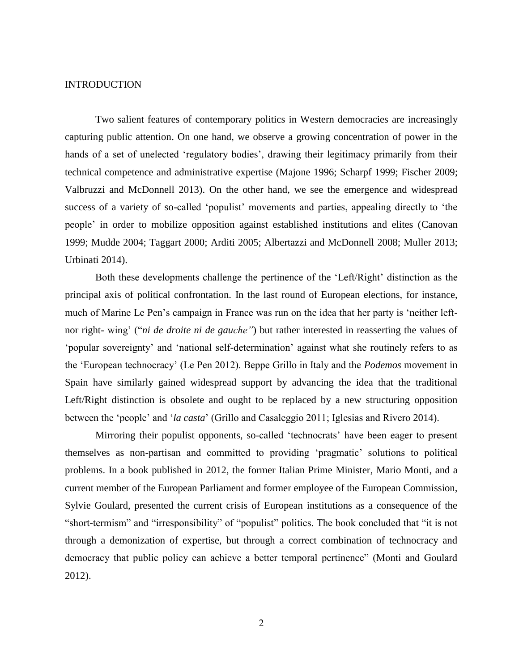### INTRODUCTION

Two salient features of contemporary politics in Western democracies are increasingly capturing public attention. On one hand, we observe a growing concentration of power in the hands of a set of unelected 'regulatory bodies', drawing their legitimacy primarily from their technical competence and administrative expertise (Majone 1996; Scharpf 1999; Fischer 2009; Valbruzzi and McDonnell 2013). On the other hand, we see the emergence and widespread success of a variety of so-called 'populist' movements and parties, appealing directly to 'the people" in order to mobilize opposition against established institutions and elites (Canovan 1999; Mudde 2004; Taggart 2000; Arditi 2005; Albertazzi and McDonnell 2008; Muller 2013; Urbinati 2014).

Both these developments challenge the pertinence of the "Left/Right" distinction as the principal axis of political confrontation. In the last round of European elections, for instance, much of Marine Le Pen"s campaign in France was run on the idea that her party is "neither leftnor right- wing' ("*ni de droite ni de gauche*") but rather interested in reasserting the values of "popular sovereignty" and "national self-determination" against what she routinely refers to as the "European technocracy" (Le Pen 2012). Beppe Grillo in Italy and the *Podemos* movement in Spain have similarly gained widespread support by advancing the idea that the traditional Left/Right distinction is obsolete and ought to be replaced by a new structuring opposition between the "people" and "*la casta*" (Grillo and Casaleggio 2011; Iglesias and Rivero 2014).

Mirroring their populist opponents, so-called "technocrats" have been eager to present themselves as non-partisan and committed to providing "pragmatic" solutions to political problems. In a book published in 2012, the former Italian Prime Minister, Mario Monti, and a current member of the European Parliament and former employee of the European Commission, Sylvie Goulard, presented the current crisis of European institutions as a consequence of the "short-termism" and "irresponsibility" of "populist" politics. The book concluded that "it is not through a demonization of expertise, but through a correct combination of technocracy and democracy that public policy can achieve a better temporal pertinence" (Monti and Goulard 2012).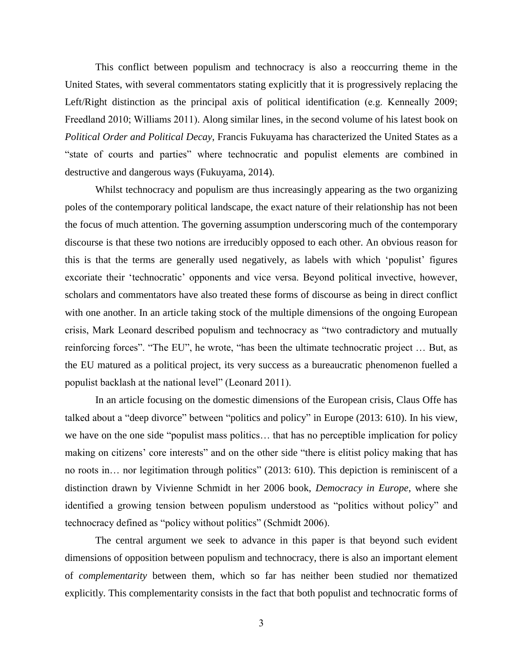This conflict between populism and technocracy is also a reoccurring theme in the United States, with several commentators stating explicitly that it is progressively replacing the Left/Right distinction as the principal axis of political identification (e.g. Kenneally 2009; Freedland 2010; Williams 2011). Along similar lines, in the second volume of his latest book on *Political Order and Political Decay*, Francis Fukuyama has characterized the United States as a "state of courts and parties" where technocratic and populist elements are combined in destructive and dangerous ways (Fukuyama, 2014).

Whilst technocracy and populism are thus increasingly appearing as the two organizing poles of the contemporary political landscape, the exact nature of their relationship has not been the focus of much attention. The governing assumption underscoring much of the contemporary discourse is that these two notions are irreducibly opposed to each other. An obvious reason for this is that the terms are generally used negatively, as labels with which "populist" figures excoriate their "technocratic" opponents and vice versa. Beyond political invective, however, scholars and commentators have also treated these forms of discourse as being in direct conflict with one another. In an article taking stock of the multiple dimensions of the ongoing European crisis, Mark Leonard described populism and technocracy as "two contradictory and mutually reinforcing forces". "The EU", he wrote, "has been the ultimate technocratic project … But, as the EU matured as a political project, its very success as a bureaucratic phenomenon fuelled a populist backlash at the national level" (Leonard 2011).

In an article focusing on the domestic dimensions of the European crisis, Claus Offe has talked about a "deep divorce" between "politics and policy" in Europe (2013: 610). In his view, we have on the one side "populist mass politics… that has no perceptible implication for policy making on citizens' core interests" and on the other side "there is elitist policy making that has no roots in… nor legitimation through politics" (2013: 610). This depiction is reminiscent of a distinction drawn by Vivienne Schmidt in her 2006 book, *Democracy in Europe*, where she identified a growing tension between populism understood as "politics without policy" and technocracy defined as "policy without politics" (Schmidt 2006).

The central argument we seek to advance in this paper is that beyond such evident dimensions of opposition between populism and technocracy, there is also an important element of *complementarity* between them, which so far has neither been studied nor thematized explicitly. This complementarity consists in the fact that both populist and technocratic forms of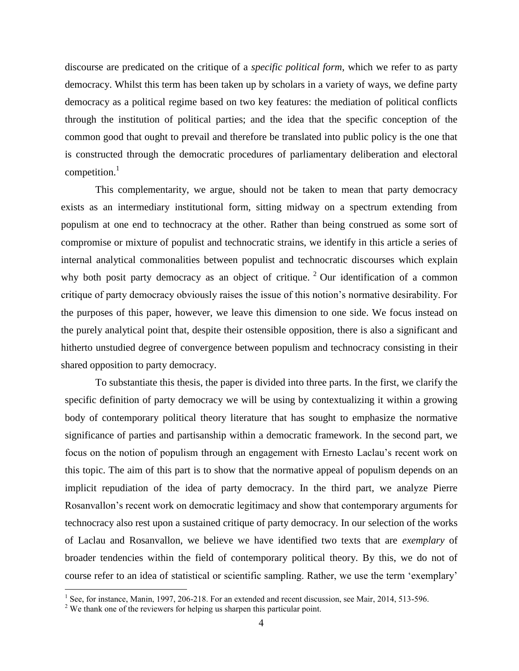discourse are predicated on the critique of a *specific political form*, which we refer to as party democracy. Whilst this term has been taken up by scholars in a variety of ways, we define party democracy as a political regime based on two key features: the mediation of political conflicts through the institution of political parties; and the idea that the specific conception of the common good that ought to prevail and therefore be translated into public policy is the one that is constructed through the democratic procedures of parliamentary deliberation and electoral competition. $<sup>1</sup>$ </sup>

This complementarity, we argue, should not be taken to mean that party democracy exists as an intermediary institutional form, sitting midway on a spectrum extending from populism at one end to technocracy at the other. Rather than being construed as some sort of compromise or mixture of populist and technocratic strains, we identify in this article a series of internal analytical commonalities between populist and technocratic discourses which explain why both posit party democracy as an object of critique.  $2$  Our identification of a common critique of party democracy obviously raises the issue of this notion"s normative desirability. For the purposes of this paper, however, we leave this dimension to one side. We focus instead on the purely analytical point that, despite their ostensible opposition, there is also a significant and hitherto unstudied degree of convergence between populism and technocracy consisting in their shared opposition to party democracy.

To substantiate this thesis, the paper is divided into three parts. In the first, we clarify the specific definition of party democracy we will be using by contextualizing it within a growing body of contemporary political theory literature that has sought to emphasize the normative significance of parties and partisanship within a democratic framework. In the second part, we focus on the notion of populism through an engagement with Ernesto Laclau"s recent work on this topic. The aim of this part is to show that the normative appeal of populism depends on an implicit repudiation of the idea of party democracy. In the third part, we analyze Pierre Rosanvallon"s recent work on democratic legitimacy and show that contemporary arguments for technocracy also rest upon a sustained critique of party democracy. In our selection of the works of Laclau and Rosanvallon, we believe we have identified two texts that are *exemplary* of broader tendencies within the field of contemporary political theory. By this, we do not of course refer to an idea of statistical or scientific sampling. Rather, we use the term "exemplary"

<sup>&</sup>lt;sup>1</sup> See, for instance, Manin, 1997, 206-218. For an extended and recent discussion, see Mair, 2014, 513-596.

<sup>&</sup>lt;sup>2</sup> We thank one of the reviewers for helping us sharpen this particular point.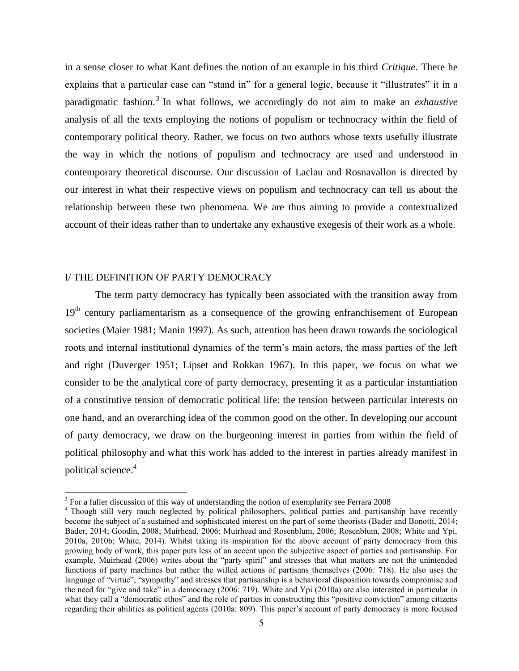in a sense closer to what Kant defines the notion of an example in his third *Critique*. There he explains that a particular case can "stand in" for a general logic, because it "illustrates" it in a paradigmatic fashion.<sup>3</sup> In what follows, we accordingly do not aim to make an *exhaustive* analysis of all the texts employing the notions of populism or technocracy within the field of contemporary political theory. Rather, we focus on two authors whose texts usefully illustrate the way in which the notions of populism and technocracy are used and understood in contemporary theoretical discourse. Our discussion of Laclau and Rosnavallon is directed by our interest in what their respective views on populism and technocracy can tell us about the relationship between these two phenomena. We are thus aiming to provide a contextualized account of their ideas rather than to undertake any exhaustive exegesis of their work as a whole.

### I/ THE DEFINITION OF PARTY DEMOCRACY

 $\overline{a}$ 

The term party democracy has typically been associated with the transition away from 19<sup>th</sup> century parliamentarism as a consequence of the growing enfranchisement of European societies (Maier 1981; Manin 1997). As such, attention has been drawn towards the sociological roots and internal institutional dynamics of the term"s main actors, the mass parties of the left and right (Duverger 1951; Lipset and Rokkan 1967). In this paper, we focus on what we consider to be the analytical core of party democracy, presenting it as a particular instantiation of a constitutive tension of democratic political life: the tension between particular interests on one hand, and an overarching idea of the common good on the other. In developing our account of party democracy, we draw on the burgeoning interest in parties from within the field of political philosophy and what this work has added to the interest in parties already manifest in political science.<sup>4</sup>

 $3$  For a fuller discussion of this way of understanding the notion of exemplarity see Ferrara 2008

<sup>4</sup> Though still very much neglected by political philosophers, political parties and partisanship have recently become the subject of a sustained and sophisticated interest on the part of some theorists (Bader and Bonotti, 2014; Bader, 2014; Goodin, 2008; Muirhead, 2006; Muirhead and Rosenblum, 2006; Rosenblum, 2008; White and Ypi, 2010a, 2010b; White, 2014). Whilst taking its inspiration for the above account of party democracy from this growing body of work, this paper puts less of an accent upon the subjective aspect of parties and partisanship. For example, Muirhead (2006) writes about the "party spirit" and stresses that what matters are not the unintended functions of party machines but rather the willed actions of partisans themselves (2006: 718). He also uses the language of "virtue", "sympathy" and stresses that partisanship is a behavioral disposition towards compromise and the need for "give and take" in a democracy (2006: 719). White and Ypi (2010a) are also interested in particular in what they call a "democratic ethos" and the role of parties in constructing this "positive conviction" among citizens regarding their abilities as political agents (2010a: 809). This paper"s account of party democracy is more focused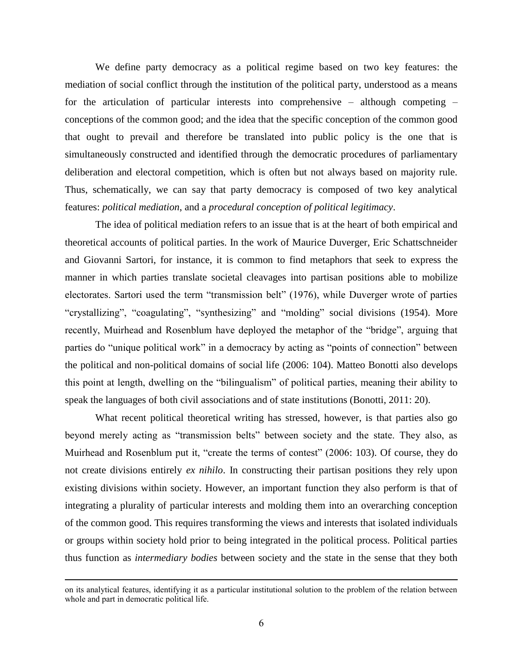We define party democracy as a political regime based on two key features: the mediation of social conflict through the institution of the political party, understood as a means for the articulation of particular interests into comprehensive – although competing – conceptions of the common good; and the idea that the specific conception of the common good that ought to prevail and therefore be translated into public policy is the one that is simultaneously constructed and identified through the democratic procedures of parliamentary deliberation and electoral competition, which is often but not always based on majority rule. Thus, schematically, we can say that party democracy is composed of two key analytical features: *political mediation*, and a *procedural conception of political legitimacy*.

The idea of political mediation refers to an issue that is at the heart of both empirical and theoretical accounts of political parties. In the work of Maurice Duverger, Eric Schattschneider and Giovanni Sartori, for instance, it is common to find metaphors that seek to express the manner in which parties translate societal cleavages into partisan positions able to mobilize electorates. Sartori used the term "transmission belt" (1976), while Duverger wrote of parties "crystallizing", "coagulating", "synthesizing" and "molding" social divisions (1954). More recently, Muirhead and Rosenblum have deployed the metaphor of the "bridge", arguing that parties do "unique political work" in a democracy by acting as "points of connection" between the political and non-political domains of social life (2006: 104). Matteo Bonotti also develops this point at length, dwelling on the "bilingualism" of political parties, meaning their ability to speak the languages of both civil associations and of state institutions (Bonotti, 2011: 20).

What recent political theoretical writing has stressed, however, is that parties also go beyond merely acting as "transmission belts" between society and the state. They also, as Muirhead and Rosenblum put it, "create the terms of contest" (2006: 103). Of course, they do not create divisions entirely *ex nihilo*. In constructing their partisan positions they rely upon existing divisions within society. However, an important function they also perform is that of integrating a plurality of particular interests and molding them into an overarching conception of the common good. This requires transforming the views and interests that isolated individuals or groups within society hold prior to being integrated in the political process. Political parties thus function as *intermediary bodies* between society and the state in the sense that they both

on its analytical features, identifying it as a particular institutional solution to the problem of the relation between whole and part in democratic political life.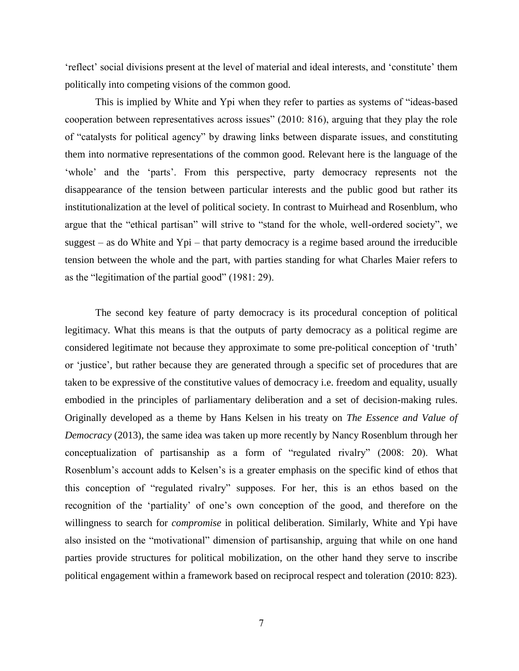"reflect" social divisions present at the level of material and ideal interests, and "constitute" them politically into competing visions of the common good.

This is implied by White and Ypi when they refer to parties as systems of "ideas-based cooperation between representatives across issues" (2010: 816), arguing that they play the role of "catalysts for political agency" by drawing links between disparate issues, and constituting them into normative representations of the common good. Relevant here is the language of the 'whole' and the 'parts'. From this perspective, party democracy represents not the disappearance of the tension between particular interests and the public good but rather its institutionalization at the level of political society. In contrast to Muirhead and Rosenblum, who argue that the "ethical partisan" will strive to "stand for the whole, well-ordered society", we suggest – as do White and Ypi – that party democracy is a regime based around the irreducible tension between the whole and the part, with parties standing for what Charles Maier refers to as the "legitimation of the partial good" (1981: 29).

The second key feature of party democracy is its procedural conception of political legitimacy. What this means is that the outputs of party democracy as a political regime are considered legitimate not because they approximate to some pre-political conception of "truth" or "justice", but rather because they are generated through a specific set of procedures that are taken to be expressive of the constitutive values of democracy i.e. freedom and equality, usually embodied in the principles of parliamentary deliberation and a set of decision-making rules. Originally developed as a theme by Hans Kelsen in his treaty on *The Essence and Value of Democracy* (2013), the same idea was taken up more recently by Nancy Rosenblum through her conceptualization of partisanship as a form of "regulated rivalry" (2008: 20). What Rosenblum"s account adds to Kelsen"s is a greater emphasis on the specific kind of ethos that this conception of "regulated rivalry" supposes. For her, this is an ethos based on the recognition of the 'partiality' of one's own conception of the good, and therefore on the willingness to search for *compromise* in political deliberation. Similarly, White and Ypi have also insisted on the "motivational" dimension of partisanship, arguing that while on one hand parties provide structures for political mobilization, on the other hand they serve to inscribe political engagement within a framework based on reciprocal respect and toleration (2010: 823).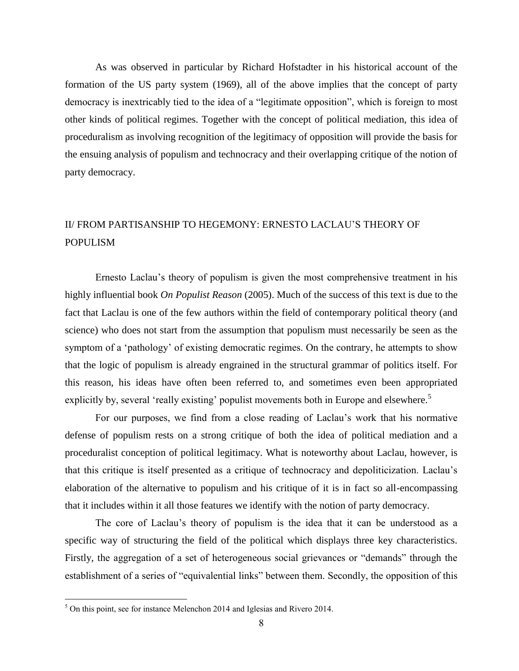As was observed in particular by Richard Hofstadter in his historical account of the formation of the US party system (1969), all of the above implies that the concept of party democracy is inextricably tied to the idea of a "legitimate opposition", which is foreign to most other kinds of political regimes. Together with the concept of political mediation, this idea of proceduralism as involving recognition of the legitimacy of opposition will provide the basis for the ensuing analysis of populism and technocracy and their overlapping critique of the notion of party democracy.

# II/ FROM PARTISANSHIP TO HEGEMONY: ERNESTO LACLAU"S THEORY OF POPULISM

Ernesto Laclau"s theory of populism is given the most comprehensive treatment in his highly influential book *On Populist Reason* (2005). Much of the success of this text is due to the fact that Laclau is one of the few authors within the field of contemporary political theory (and science) who does not start from the assumption that populism must necessarily be seen as the symptom of a 'pathology' of existing democratic regimes. On the contrary, he attempts to show that the logic of populism is already engrained in the structural grammar of politics itself. For this reason, his ideas have often been referred to, and sometimes even been appropriated explicitly by, several 'really existing' populist movements both in Europe and elsewhere.<sup>5</sup>

For our purposes, we find from a close reading of Laclau"s work that his normative defense of populism rests on a strong critique of both the idea of political mediation and a proceduralist conception of political legitimacy. What is noteworthy about Laclau, however, is that this critique is itself presented as a critique of technocracy and depoliticization. Laclau"s elaboration of the alternative to populism and his critique of it is in fact so all-encompassing that it includes within it all those features we identify with the notion of party democracy.

The core of Laclau"s theory of populism is the idea that it can be understood as a specific way of structuring the field of the political which displays three key characteristics. Firstly, the aggregation of a set of heterogeneous social grievances or "demands" through the establishment of a series of "equivalential links" between them. Secondly, the opposition of this

<sup>5</sup> On this point, see for instance Melenchon 2014 and Iglesias and Rivero 2014.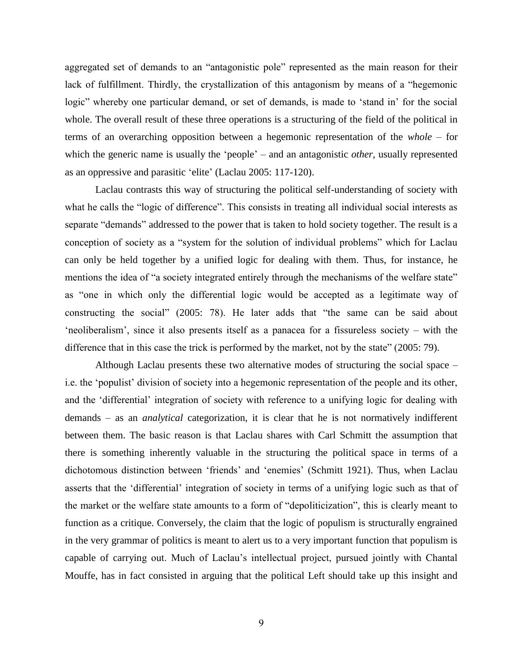aggregated set of demands to an "antagonistic pole" represented as the main reason for their lack of fulfillment. Thirdly, the crystallization of this antagonism by means of a "hegemonic logic" whereby one particular demand, or set of demands, is made to 'stand in' for the social whole. The overall result of these three operations is a structuring of the field of the political in terms of an overarching opposition between a hegemonic representation of the *whole* – for which the generic name is usually the 'people' – and an antagonistic *other*, usually represented as an oppressive and parasitic "elite" (Laclau 2005: 117-120).

Laclau contrasts this way of structuring the political self-understanding of society with what he calls the "logic of difference". This consists in treating all individual social interests as separate "demands" addressed to the power that is taken to hold society together. The result is a conception of society as a "system for the solution of individual problems" which for Laclau can only be held together by a unified logic for dealing with them. Thus, for instance, he mentions the idea of "a society integrated entirely through the mechanisms of the welfare state" as "one in which only the differential logic would be accepted as a legitimate way of constructing the social" (2005: 78). He later adds that "the same can be said about "neoliberalism", since it also presents itself as a panacea for a fissureless society – with the difference that in this case the trick is performed by the market, not by the state" (2005: 79).

Although Laclau presents these two alternative modes of structuring the social space – i.e. the "populist" division of society into a hegemonic representation of the people and its other, and the "differential" integration of society with reference to a unifying logic for dealing with demands – as an *analytical* categorization, it is clear that he is not normatively indifferent between them. The basic reason is that Laclau shares with Carl Schmitt the assumption that there is something inherently valuable in the structuring the political space in terms of a dichotomous distinction between "friends" and "enemies" (Schmitt 1921). Thus, when Laclau asserts that the "differential" integration of society in terms of a unifying logic such as that of the market or the welfare state amounts to a form of "depoliticization", this is clearly meant to function as a critique. Conversely, the claim that the logic of populism is structurally engrained in the very grammar of politics is meant to alert us to a very important function that populism is capable of carrying out. Much of Laclau"s intellectual project, pursued jointly with Chantal Mouffe, has in fact consisted in arguing that the political Left should take up this insight and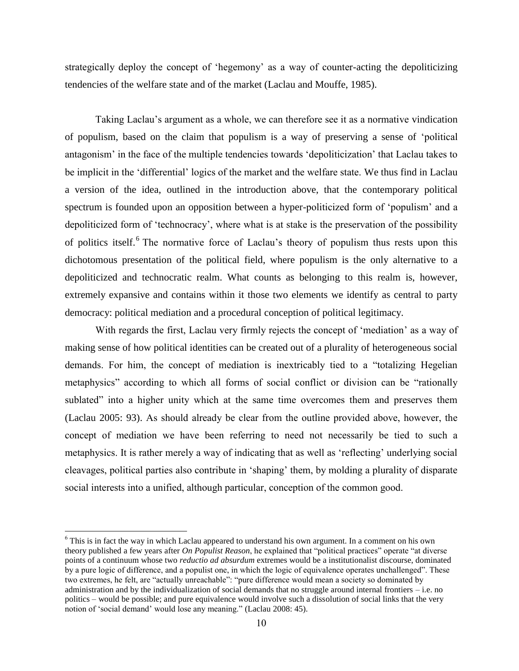strategically deploy the concept of "hegemony" as a way of counter-acting the depoliticizing tendencies of the welfare state and of the market (Laclau and Mouffe, 1985).

Taking Laclau"s argument as a whole, we can therefore see it as a normative vindication of populism, based on the claim that populism is a way of preserving a sense of "political antagonism" in the face of the multiple tendencies towards "depoliticization" that Laclau takes to be implicit in the "differential" logics of the market and the welfare state. We thus find in Laclau a version of the idea, outlined in the introduction above, that the contemporary political spectrum is founded upon an opposition between a hyper-politicized form of "populism" and a depoliticized form of "technocracy", where what is at stake is the preservation of the possibility of politics itself.<sup>6</sup> The normative force of Laclau's theory of populism thus rests upon this dichotomous presentation of the political field, where populism is the only alternative to a depoliticized and technocratic realm. What counts as belonging to this realm is, however, extremely expansive and contains within it those two elements we identify as central to party democracy: political mediation and a procedural conception of political legitimacy.

With regards the first, Laclau very firmly rejects the concept of 'mediation' as a way of making sense of how political identities can be created out of a plurality of heterogeneous social demands. For him, the concept of mediation is inextricably tied to a "totalizing Hegelian metaphysics" according to which all forms of social conflict or division can be "rationally sublated" into a higher unity which at the same time overcomes them and preserves them (Laclau 2005: 93). As should already be clear from the outline provided above, however, the concept of mediation we have been referring to need not necessarily be tied to such a metaphysics. It is rather merely a way of indicating that as well as "reflecting" underlying social cleavages, political parties also contribute in "shaping" them, by molding a plurality of disparate social interests into a unified, although particular, conception of the common good.

 $6$  This is in fact the way in which Laclau appeared to understand his own argument. In a comment on his own theory published a few years after *On Populist Reason*, he explained that "political practices" operate "at diverse points of a continuum whose two *reductio ad absurdum* extremes would be a institutionalist discourse, dominated by a pure logic of difference, and a populist one, in which the logic of equivalence operates unchallenged". These two extremes, he felt, are "actually unreachable": "pure difference would mean a society so dominated by administration and by the individualization of social demands that no struggle around internal frontiers – i.e. no politics – would be possible; and pure equivalence would involve such a dissolution of social links that the very notion of "social demand" would lose any meaning." (Laclau 2008: 45).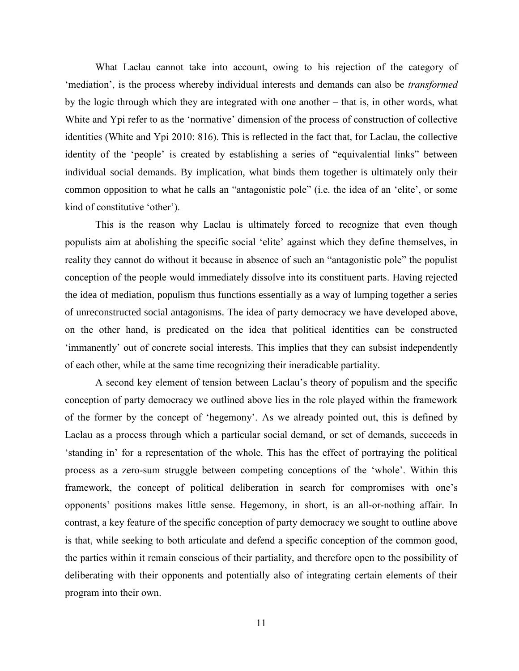What Laclau cannot take into account, owing to his rejection of the category of "mediation", is the process whereby individual interests and demands can also be *transformed* by the logic through which they are integrated with one another – that is, in other words, what White and Ypi refer to as the 'normative' dimension of the process of construction of collective identities (White and Ypi 2010: 816). This is reflected in the fact that, for Laclau, the collective identity of the 'people' is created by establishing a series of "equivalential links" between individual social demands. By implication, what binds them together is ultimately only their common opposition to what he calls an "antagonistic pole" (i.e. the idea of an "elite", or some kind of constitutive 'other').

This is the reason why Laclau is ultimately forced to recognize that even though populists aim at abolishing the specific social "elite" against which they define themselves, in reality they cannot do without it because in absence of such an "antagonistic pole" the populist conception of the people would immediately dissolve into its constituent parts. Having rejected the idea of mediation, populism thus functions essentially as a way of lumping together a series of unreconstructed social antagonisms. The idea of party democracy we have developed above, on the other hand, is predicated on the idea that political identities can be constructed "immanently" out of concrete social interests. This implies that they can subsist independently of each other, while at the same time recognizing their ineradicable partiality.

A second key element of tension between Laclau"s theory of populism and the specific conception of party democracy we outlined above lies in the role played within the framework of the former by the concept of "hegemony". As we already pointed out, this is defined by Laclau as a process through which a particular social demand, or set of demands, succeeds in "standing in" for a representation of the whole. This has the effect of portraying the political process as a zero-sum struggle between competing conceptions of the "whole". Within this framework, the concept of political deliberation in search for compromises with one"s opponents" positions makes little sense. Hegemony, in short, is an all-or-nothing affair. In contrast, a key feature of the specific conception of party democracy we sought to outline above is that, while seeking to both articulate and defend a specific conception of the common good, the parties within it remain conscious of their partiality, and therefore open to the possibility of deliberating with their opponents and potentially also of integrating certain elements of their program into their own.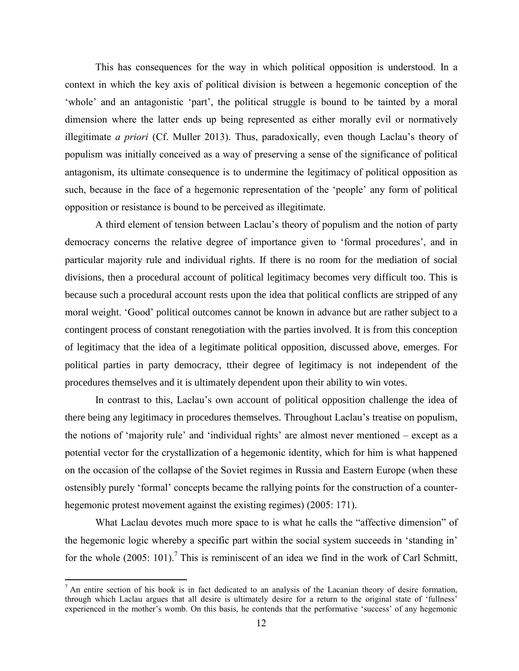This has consequences for the way in which political opposition is understood. In a context in which the key axis of political division is between a hegemonic conception of the 'whole' and an antagonistic 'part', the political struggle is bound to be tainted by a moral dimension where the latter ends up being represented as either morally evil or normatively illegitimate *a priori* (Cf. Muller 2013). Thus, paradoxically, even though Laclau's theory of populism was initially conceived as a way of preserving a sense of the significance of political antagonism, its ultimate consequence is to undermine the legitimacy of political opposition as such, because in the face of a hegemonic representation of the "people" any form of political opposition or resistance is bound to be perceived as illegitimate.

A third element of tension between Laclau"s theory of populism and the notion of party democracy concerns the relative degree of importance given to "formal procedures", and in particular majority rule and individual rights. If there is no room for the mediation of social divisions, then a procedural account of political legitimacy becomes very difficult too. This is because such a procedural account rests upon the idea that political conflicts are stripped of any moral weight. "Good" political outcomes cannot be known in advance but are rather subject to a contingent process of constant renegotiation with the parties involved. It is from this conception of legitimacy that the idea of a legitimate political opposition, discussed above, emerges. For political parties in party democracy, ttheir degree of legitimacy is not independent of the procedures themselves and it is ultimately dependent upon their ability to win votes.

In contrast to this, Laclau's own account of political opposition challenge the idea of there being any legitimacy in procedures themselves. Throughout Laclau"s treatise on populism, the notions of "majority rule" and "individual rights" are almost never mentioned – except as a potential vector for the crystallization of a hegemonic identity, which for him is what happened on the occasion of the collapse of the Soviet regimes in Russia and Eastern Europe (when these ostensibly purely "formal" concepts became the rallying points for the construction of a counterhegemonic protest movement against the existing regimes) (2005: 171).

What Laclau devotes much more space to is what he calls the "affective dimension" of the hegemonic logic whereby a specific part within the social system succeeds in "standing in" for the whole  $(2005: 101)$ .<sup>7</sup> This is reminiscent of an idea we find in the work of Carl Schmitt,

 $<sup>7</sup>$  An entire section of his book is in fact dedicated to an analysis of the Lacanian theory of desire formation,</sup> through which Laclau argues that all desire is ultimately desire for a return to the original state of "fullness" experienced in the mother"s womb. On this basis, he contends that the performative "success" of any hegemonic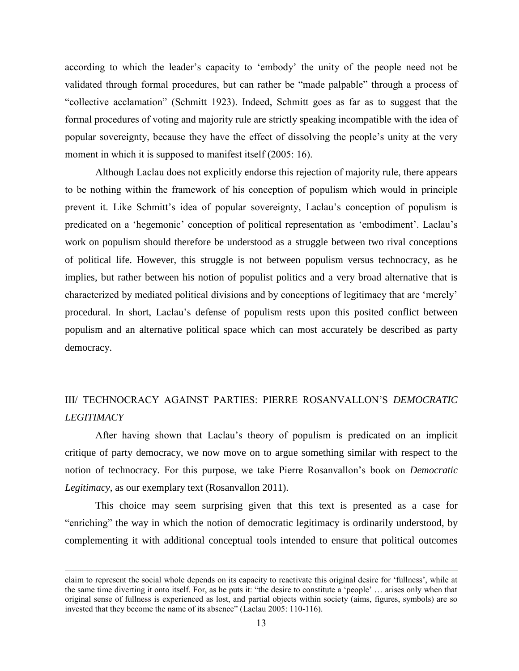according to which the leader's capacity to 'embody' the unity of the people need not be validated through formal procedures, but can rather be "made palpable" through a process of "collective acclamation" (Schmitt 1923). Indeed, Schmitt goes as far as to suggest that the formal procedures of voting and majority rule are strictly speaking incompatible with the idea of popular sovereignty, because they have the effect of dissolving the people"s unity at the very moment in which it is supposed to manifest itself (2005: 16).

Although Laclau does not explicitly endorse this rejection of majority rule, there appears to be nothing within the framework of his conception of populism which would in principle prevent it. Like Schmitt"s idea of popular sovereignty, Laclau"s conception of populism is predicated on a "hegemonic" conception of political representation as "embodiment". Laclau"s work on populism should therefore be understood as a struggle between two rival conceptions of political life. However, this struggle is not between populism versus technocracy, as he implies, but rather between his notion of populist politics and a very broad alternative that is characterized by mediated political divisions and by conceptions of legitimacy that are "merely" procedural. In short, Laclau"s defense of populism rests upon this posited conflict between populism and an alternative political space which can most accurately be described as party democracy.

## III/ TECHNOCRACY AGAINST PARTIES: PIERRE ROSANVALLON"S *DEMOCRATIC LEGITIMACY*

After having shown that Laclau"s theory of populism is predicated on an implicit critique of party democracy, we now move on to argue something similar with respect to the notion of technocracy. For this purpose, we take Pierre Rosanvallon"s book on *Democratic Legitimacy*, as our exemplary text (Rosanvallon 2011).

This choice may seem surprising given that this text is presented as a case for "enriching" the way in which the notion of democratic legitimacy is ordinarily understood, by complementing it with additional conceptual tools intended to ensure that political outcomes

claim to represent the social whole depends on its capacity to reactivate this original desire for "fullness", while at the same time diverting it onto itself. For, as he puts it: "the desire to constitute a "people" … arises only when that original sense of fullness is experienced as lost, and partial objects within society (aims, figures, symbols) are so invested that they become the name of its absence" (Laclau 2005: 110-116).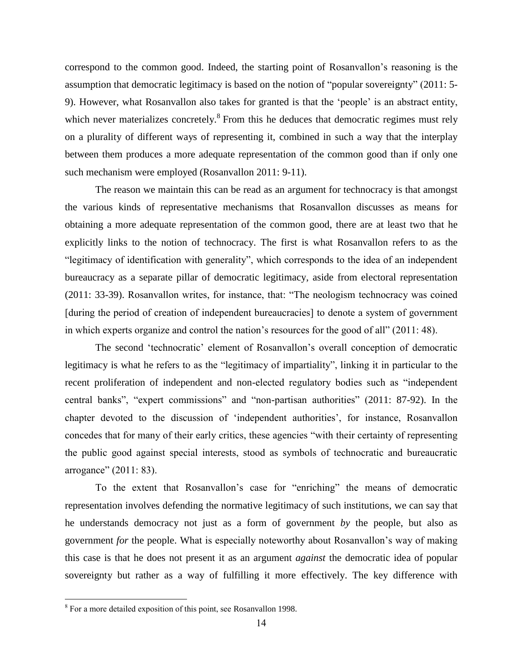correspond to the common good. Indeed, the starting point of Rosanvallon"s reasoning is the assumption that democratic legitimacy is based on the notion of "popular sovereignty" (2011: 5- 9). However, what Rosanvallon also takes for granted is that the "people" is an abstract entity, which never materializes concretely.<sup>8</sup> From this he deduces that democratic regimes must rely on a plurality of different ways of representing it, combined in such a way that the interplay between them produces a more adequate representation of the common good than if only one such mechanism were employed (Rosanvallon 2011: 9-11).

The reason we maintain this can be read as an argument for technocracy is that amongst the various kinds of representative mechanisms that Rosanvallon discusses as means for obtaining a more adequate representation of the common good, there are at least two that he explicitly links to the notion of technocracy. The first is what Rosanvallon refers to as the "legitimacy of identification with generality", which corresponds to the idea of an independent bureaucracy as a separate pillar of democratic legitimacy, aside from electoral representation (2011: 33-39). Rosanvallon writes, for instance, that: "The neologism technocracy was coined [during the period of creation of independent bureaucracies] to denote a system of government in which experts organize and control the nation"s resources for the good of all" (2011: 48).

The second "technocratic" element of Rosanvallon"s overall conception of democratic legitimacy is what he refers to as the "legitimacy of impartiality", linking it in particular to the recent proliferation of independent and non-elected regulatory bodies such as "independent central banks", "expert commissions" and "non-partisan authorities" (2011: 87-92). In the chapter devoted to the discussion of "independent authorities", for instance, Rosanvallon concedes that for many of their early critics, these agencies "with their certainty of representing the public good against special interests, stood as symbols of technocratic and bureaucratic arrogance" (2011: 83).

To the extent that Rosanvallon"s case for "enriching" the means of democratic representation involves defending the normative legitimacy of such institutions, we can say that he understands democracy not just as a form of government *by* the people, but also as government *for* the people. What is especially noteworthy about Rosanvallon"s way of making this case is that he does not present it as an argument *against* the democratic idea of popular sovereignty but rather as a way of fulfilling it more effectively. The key difference with

<sup>&</sup>lt;sup>8</sup> For a more detailed exposition of this point, see Rosanvallon 1998.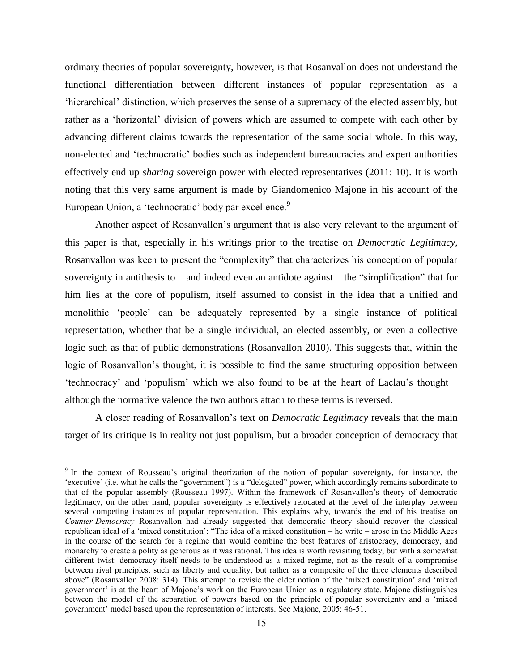ordinary theories of popular sovereignty, however, is that Rosanvallon does not understand the functional differentiation between different instances of popular representation as a "hierarchical" distinction, which preserves the sense of a supremacy of the elected assembly, but rather as a "horizontal" division of powers which are assumed to compete with each other by advancing different claims towards the representation of the same social whole. In this way, non-elected and "technocratic" bodies such as independent bureaucracies and expert authorities effectively end up *sharing* sovereign power with elected representatives (2011: 10). It is worth noting that this very same argument is made by Giandomenico Majone in his account of the European Union, a 'technocratic' body par excellence.<sup>9</sup>

Another aspect of Rosanvallon"s argument that is also very relevant to the argument of this paper is that, especially in his writings prior to the treatise on *Democratic Legitimacy*, Rosanvallon was keen to present the "complexity" that characterizes his conception of popular sovereignty in antithesis to – and indeed even an antidote against – the "simplification" that for him lies at the core of populism, itself assumed to consist in the idea that a unified and monolithic "people" can be adequately represented by a single instance of political representation, whether that be a single individual, an elected assembly, or even a collective logic such as that of public demonstrations (Rosanvallon 2010). This suggests that, within the logic of Rosanvallon's thought, it is possible to find the same structuring opposition between "technocracy" and "populism" which we also found to be at the heart of Laclau"s thought – although the normative valence the two authors attach to these terms is reversed.

A closer reading of Rosanvallon"s text on *Democratic Legitimacy* reveals that the main target of its critique is in reality not just populism, but a broader conception of democracy that

<sup>&</sup>lt;sup>9</sup> In the context of Rousseau's original theorization of the notion of popular sovereignty, for instance, the "executive" (i.e. what he calls the "government") is a "delegated" power, which accordingly remains subordinate to that of the popular assembly (Rousseau 1997). Within the framework of Rosanvallon"s theory of democratic legitimacy, on the other hand, popular sovereignty is effectively relocated at the level of the interplay between several competing instances of popular representation. This explains why, towards the end of his treatise on *Counter-Democracy* Rosanvallon had already suggested that democratic theory should recover the classical republican ideal of a "mixed constitution": "The idea of a mixed constitution – he write – arose in the Middle Ages in the course of the search for a regime that would combine the best features of aristocracy, democracy, and monarchy to create a polity as generous as it was rational. This idea is worth revisiting today, but with a somewhat different twist: democracy itself needs to be understood as a mixed regime, not as the result of a compromise between rival principles, such as liberty and equality, but rather as a composite of the three elements described above" (Rosanvallon 2008: 314). This attempt to revisie the older notion of the "mixed constitution" and "mixed government" is at the heart of Majone"s work on the European Union as a regulatory state. Majone distinguishes between the model of the separation of powers based on the principle of popular sovereignty and a "mixed government' model based upon the representation of interests. See Majone, 2005: 46-51.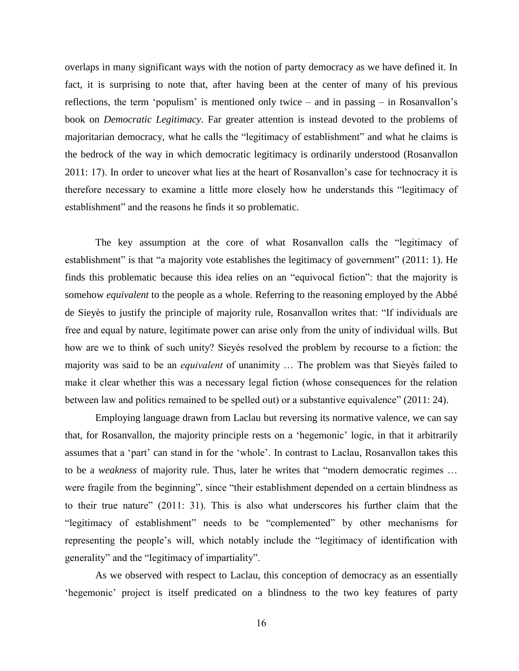overlaps in many significant ways with the notion of party democracy as we have defined it. In fact, it is surprising to note that, after having been at the center of many of his previous reflections, the term 'populism' is mentioned only twice – and in passing – in Rosanvallon's book on *Democratic Legitimacy*. Far greater attention is instead devoted to the problems of majoritarian democracy, what he calls the "legitimacy of establishment" and what he claims is the bedrock of the way in which democratic legitimacy is ordinarily understood (Rosanvallon 2011: 17). In order to uncover what lies at the heart of Rosanvallon"s case for technocracy it is therefore necessary to examine a little more closely how he understands this "legitimacy of establishment" and the reasons he finds it so problematic.

The key assumption at the core of what Rosanvallon calls the "legitimacy of establishment" is that "a majority vote establishes the legitimacy of government" (2011: 1). He finds this problematic because this idea relies on an "equivocal fiction": that the majority is somehow *equivalent* to the people as a whole. Referring to the reasoning employed by the Abbé de Sieyès to justify the principle of majority rule, Rosanvallon writes that: "If individuals are free and equal by nature, legitimate power can arise only from the unity of individual wills. But how are we to think of such unity? Sieyès resolved the problem by recourse to a fiction: the majority was said to be an *equivalent* of unanimity … The problem was that Sieyès failed to make it clear whether this was a necessary legal fiction (whose consequences for the relation between law and politics remained to be spelled out) or a substantive equivalence" (2011: 24).

Employing language drawn from Laclau but reversing its normative valence, we can say that, for Rosanvallon, the majority principle rests on a "hegemonic" logic, in that it arbitrarily assumes that a "part" can stand in for the "whole". In contrast to Laclau, Rosanvallon takes this to be a *weakness* of majority rule. Thus, later he writes that "modern democratic regimes … were fragile from the beginning", since "their establishment depended on a certain blindness as to their true nature" (2011: 31). This is also what underscores his further claim that the "legitimacy of establishment" needs to be "complemented" by other mechanisms for representing the people"s will, which notably include the "legitimacy of identification with generality" and the "legitimacy of impartiality".

As we observed with respect to Laclau, this conception of democracy as an essentially "hegemonic" project is itself predicated on a blindness to the two key features of party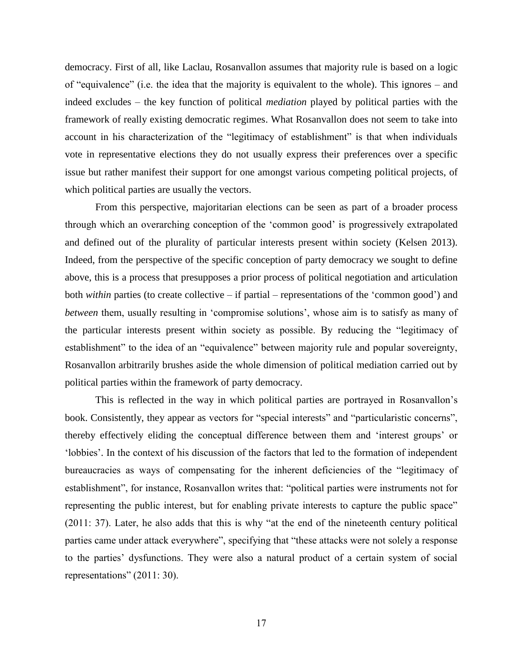democracy. First of all, like Laclau, Rosanvallon assumes that majority rule is based on a logic of "equivalence" (i.e. the idea that the majority is equivalent to the whole). This ignores – and indeed excludes – the key function of political *mediation* played by political parties with the framework of really existing democratic regimes. What Rosanvallon does not seem to take into account in his characterization of the "legitimacy of establishment" is that when individuals vote in representative elections they do not usually express their preferences over a specific issue but rather manifest their support for one amongst various competing political projects, of which political parties are usually the vectors.

From this perspective, majoritarian elections can be seen as part of a broader process through which an overarching conception of the "common good" is progressively extrapolated and defined out of the plurality of particular interests present within society (Kelsen 2013). Indeed, from the perspective of the specific conception of party democracy we sought to define above, this is a process that presupposes a prior process of political negotiation and articulation both *within* parties (to create collective – if partial – representations of the "common good") and *between* them, usually resulting in 'compromise solutions', whose aim is to satisfy as many of the particular interests present within society as possible. By reducing the "legitimacy of establishment" to the idea of an "equivalence" between majority rule and popular sovereignty, Rosanvallon arbitrarily brushes aside the whole dimension of political mediation carried out by political parties within the framework of party democracy.

This is reflected in the way in which political parties are portrayed in Rosanvallon"s book. Consistently, they appear as vectors for "special interests" and "particularistic concerns", thereby effectively eliding the conceptual difference between them and "interest groups" or "lobbies". In the context of his discussion of the factors that led to the formation of independent bureaucracies as ways of compensating for the inherent deficiencies of the "legitimacy of establishment", for instance, Rosanvallon writes that: "political parties were instruments not for representing the public interest, but for enabling private interests to capture the public space" (2011: 37). Later, he also adds that this is why "at the end of the nineteenth century political parties came under attack everywhere", specifying that "these attacks were not solely a response to the parties" dysfunctions. They were also a natural product of a certain system of social representations" (2011: 30).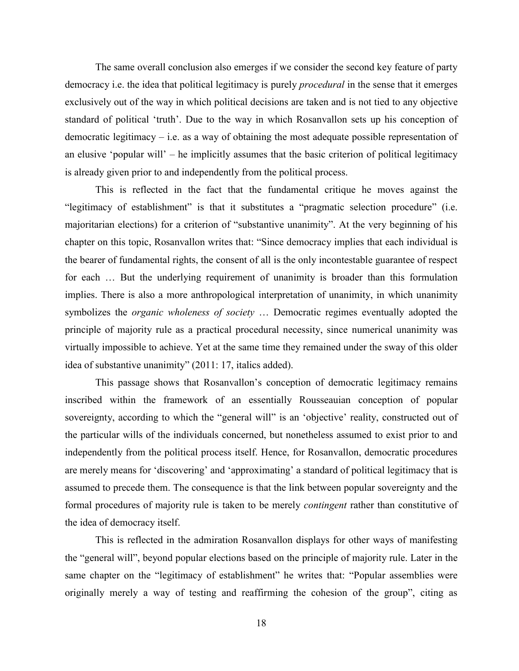The same overall conclusion also emerges if we consider the second key feature of party democracy i.e. the idea that political legitimacy is purely *procedural* in the sense that it emerges exclusively out of the way in which political decisions are taken and is not tied to any objective standard of political "truth". Due to the way in which Rosanvallon sets up his conception of democratic legitimacy – i.e. as a way of obtaining the most adequate possible representation of an elusive 'popular will' – he implicitly assumes that the basic criterion of political legitimacy is already given prior to and independently from the political process.

This is reflected in the fact that the fundamental critique he moves against the "legitimacy of establishment" is that it substitutes a "pragmatic selection procedure" (i.e. majoritarian elections) for a criterion of "substantive unanimity". At the very beginning of his chapter on this topic, Rosanvallon writes that: "Since democracy implies that each individual is the bearer of fundamental rights, the consent of all is the only incontestable guarantee of respect for each … But the underlying requirement of unanimity is broader than this formulation implies. There is also a more anthropological interpretation of unanimity, in which unanimity symbolizes the *organic wholeness of society* … Democratic regimes eventually adopted the principle of majority rule as a practical procedural necessity, since numerical unanimity was virtually impossible to achieve. Yet at the same time they remained under the sway of this older idea of substantive unanimity" (2011: 17, italics added).

This passage shows that Rosanvallon"s conception of democratic legitimacy remains inscribed within the framework of an essentially Rousseauian conception of popular sovereignty, according to which the "general will" is an 'objective' reality, constructed out of the particular wills of the individuals concerned, but nonetheless assumed to exist prior to and independently from the political process itself. Hence, for Rosanvallon, democratic procedures are merely means for 'discovering' and 'approximating' a standard of political legitimacy that is assumed to precede them. The consequence is that the link between popular sovereignty and the formal procedures of majority rule is taken to be merely *contingent* rather than constitutive of the idea of democracy itself.

This is reflected in the admiration Rosanvallon displays for other ways of manifesting the "general will", beyond popular elections based on the principle of majority rule. Later in the same chapter on the "legitimacy of establishment" he writes that: "Popular assemblies were originally merely a way of testing and reaffirming the cohesion of the group", citing as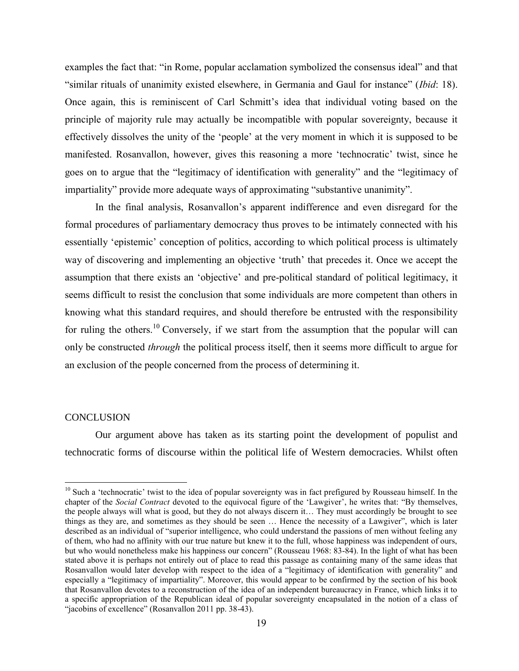examples the fact that: "in Rome, popular acclamation symbolized the consensus ideal" and that "similar rituals of unanimity existed elsewhere, in Germania and Gaul for instance" (*Ibid*: 18). Once again, this is reminiscent of Carl Schmitt"s idea that individual voting based on the principle of majority rule may actually be incompatible with popular sovereignty, because it effectively dissolves the unity of the "people" at the very moment in which it is supposed to be manifested. Rosanvallon, however, gives this reasoning a more "technocratic" twist, since he goes on to argue that the "legitimacy of identification with generality" and the "legitimacy of impartiality" provide more adequate ways of approximating "substantive unanimity".

In the final analysis, Rosanvallon"s apparent indifference and even disregard for the formal procedures of parliamentary democracy thus proves to be intimately connected with his essentially "epistemic" conception of politics, according to which political process is ultimately way of discovering and implementing an objective 'truth' that precedes it. Once we accept the assumption that there exists an "objective" and pre-political standard of political legitimacy, it seems difficult to resist the conclusion that some individuals are more competent than others in knowing what this standard requires, and should therefore be entrusted with the responsibility for ruling the others.<sup>10</sup> Conversely, if we start from the assumption that the popular will can only be constructed *through* the political process itself, then it seems more difficult to argue for an exclusion of the people concerned from the process of determining it.

### **CONCLUSION**

 $\overline{a}$ 

Our argument above has taken as its starting point the development of populist and technocratic forms of discourse within the political life of Western democracies. Whilst often

 $10$  Such a 'technocratic' twist to the idea of popular sovereignty was in fact prefigured by Rousseau himself. In the chapter of the *Social Contract* devoted to the equivocal figure of the "Lawgiver", he writes that: "By themselves, the people always will what is good, but they do not always discern it… They must accordingly be brought to see things as they are, and sometimes as they should be seen … Hence the necessity of a Lawgiver", which is later described as an individual of "superior intelligence, who could understand the passions of men without feeling any of them, who had no affinity with our true nature but knew it to the full, whose happiness was independent of ours, but who would nonetheless make his happiness our concern" (Rousseau 1968: 83-84). In the light of what has been stated above it is perhaps not entirely out of place to read this passage as containing many of the same ideas that Rosanvallon would later develop with respect to the idea of a "legitimacy of identification with generality" and especially a "legitimacy of impartiality". Moreover, this would appear to be confirmed by the section of his book that Rosanvallon devotes to a reconstruction of the idea of an independent bureaucracy in France, which links it to a specific appropriation of the Republican ideal of popular sovereignty encapsulated in the notion of a class of "jacobins of excellence" (Rosanvallon 2011 pp. 38-43).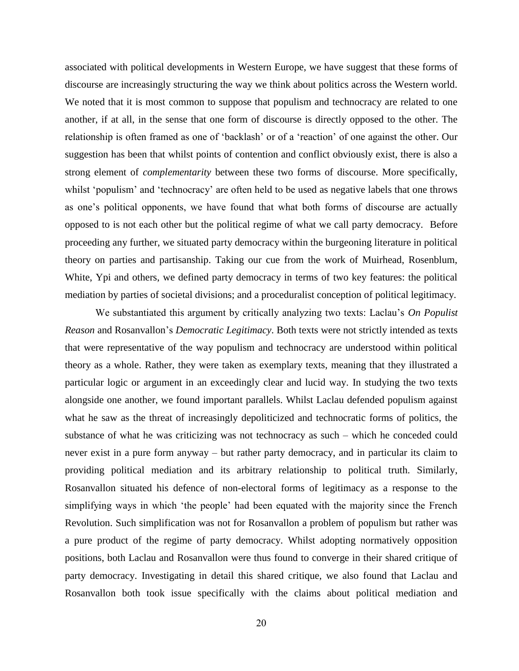associated with political developments in Western Europe, we have suggest that these forms of discourse are increasingly structuring the way we think about politics across the Western world. We noted that it is most common to suppose that populism and technocracy are related to one another, if at all, in the sense that one form of discourse is directly opposed to the other. The relationship is often framed as one of "backlash" or of a "reaction" of one against the other. Our suggestion has been that whilst points of contention and conflict obviously exist, there is also a strong element of *complementarity* between these two forms of discourse. More specifically, whilst 'populism' and 'technocracy' are often held to be used as negative labels that one throws as one's political opponents, we have found that what both forms of discourse are actually opposed to is not each other but the political regime of what we call party democracy. Before proceeding any further, we situated party democracy within the burgeoning literature in political theory on parties and partisanship. Taking our cue from the work of Muirhead, Rosenblum, White, Ypi and others, we defined party democracy in terms of two key features: the political mediation by parties of societal divisions; and a proceduralist conception of political legitimacy.

We substantiated this argument by critically analyzing two texts: Laclau"s *On Populist Reason* and Rosanvallon"s *Democratic Legitimacy*. Both texts were not strictly intended as texts that were representative of the way populism and technocracy are understood within political theory as a whole. Rather, they were taken as exemplary texts, meaning that they illustrated a particular logic or argument in an exceedingly clear and lucid way. In studying the two texts alongside one another, we found important parallels. Whilst Laclau defended populism against what he saw as the threat of increasingly depoliticized and technocratic forms of politics, the substance of what he was criticizing was not technocracy as such – which he conceded could never exist in a pure form anyway – but rather party democracy, and in particular its claim to providing political mediation and its arbitrary relationship to political truth. Similarly, Rosanvallon situated his defence of non-electoral forms of legitimacy as a response to the simplifying ways in which "the people" had been equated with the majority since the French Revolution. Such simplification was not for Rosanvallon a problem of populism but rather was a pure product of the regime of party democracy. Whilst adopting normatively opposition positions, both Laclau and Rosanvallon were thus found to converge in their shared critique of party democracy. Investigating in detail this shared critique, we also found that Laclau and Rosanvallon both took issue specifically with the claims about political mediation and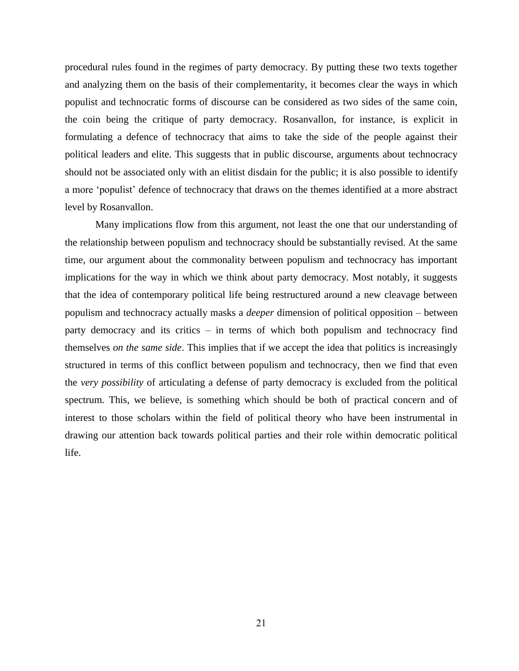procedural rules found in the regimes of party democracy. By putting these two texts together and analyzing them on the basis of their complementarity, it becomes clear the ways in which populist and technocratic forms of discourse can be considered as two sides of the same coin, the coin being the critique of party democracy. Rosanvallon, for instance, is explicit in formulating a defence of technocracy that aims to take the side of the people against their political leaders and elite. This suggests that in public discourse, arguments about technocracy should not be associated only with an elitist disdain for the public; it is also possible to identify a more 'populist' defence of technocracy that draws on the themes identified at a more abstract level by Rosanvallon.

Many implications flow from this argument, not least the one that our understanding of the relationship between populism and technocracy should be substantially revised. At the same time, our argument about the commonality between populism and technocracy has important implications for the way in which we think about party democracy. Most notably, it suggests that the idea of contemporary political life being restructured around a new cleavage between populism and technocracy actually masks a *deeper* dimension of political opposition – between party democracy and its critics – in terms of which both populism and technocracy find themselves *on the same side*. This implies that if we accept the idea that politics is increasingly structured in terms of this conflict between populism and technocracy, then we find that even the *very possibility* of articulating a defense of party democracy is excluded from the political spectrum. This, we believe, is something which should be both of practical concern and of interest to those scholars within the field of political theory who have been instrumental in drawing our attention back towards political parties and their role within democratic political life.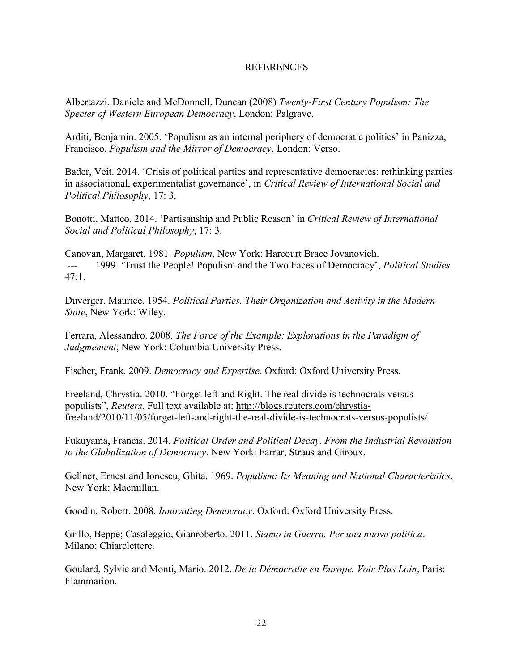### REFERENCES

Albertazzi, Daniele and McDonnell, Duncan (2008) *Twenty-First Century Populism: The Specter of Western European Democracy*, London: Palgrave.

Arditi, Benjamin. 2005. "Populism as an internal periphery of democratic politics" in Panizza, Francisco, *Populism and the Mirror of Democracy*, London: Verso.

Bader, Veit. 2014. "Crisis of political parties and representative democracies: rethinking parties in associational, experimentalist governance", in *Critical Review of International Social and Political Philosophy*, 17: 3.

Bonotti, Matteo. 2014. "Partisanship and Public Reason" in *Critical Review of International Social and Political Philosophy*, 17: 3.

Canovan, Margaret. 1981. *Populism*, New York: Harcourt Brace Jovanovich. --- 1999. "Trust the People! Populism and the Two Faces of Democracy", *Political Studies*  $47:1$ 

Duverger, Maurice. 1954. *Political Parties. Their Organization and Activity in the Modern State*, New York: Wiley.

Ferrara, Alessandro. 2008. *The Force of the Example: Explorations in the Paradigm of Judgmement*, New York: Columbia University Press.

Fischer, Frank. 2009. *Democracy and Expertise*. Oxford: Oxford University Press.

Freeland, Chrystia. 2010. "Forget left and Right. The real divide is technocrats versus populists", *Reuters*. Full text available at: [http://blogs.reuters.com/chrystia](http://blogs.reuters.com/chrystia-freeland/2010/11/05/forget-left-and-right-the-real-divide-is-technocrats-versus-populists/)[freeland/2010/11/05/forget-left-and-right-the-real-divide-is-technocrats-versus-populists/](http://blogs.reuters.com/chrystia-freeland/2010/11/05/forget-left-and-right-the-real-divide-is-technocrats-versus-populists/)

Fukuyama, Francis. 2014. *Political Order and Political Decay. From the Industrial Revolution to the Globalization of Democracy*. New York: Farrar, Straus and Giroux.

Gellner, Ernest and Ionescu, Ghita. 1969. *Populism: Its Meaning and National Characteristics*, New York: Macmillan.

Goodin, Robert. 2008. *Innovating Democracy*. Oxford: Oxford University Press.

Grillo, Beppe; Casaleggio, Gianroberto. 2011. *Siamo in Guerra. Per una nuova politica*. Milano: Chiarelettere.

Goulard, Sylvie and Monti, Mario. 2012. *De la Démocratie en Europe. Voir Plus Loin*, Paris: Flammarion.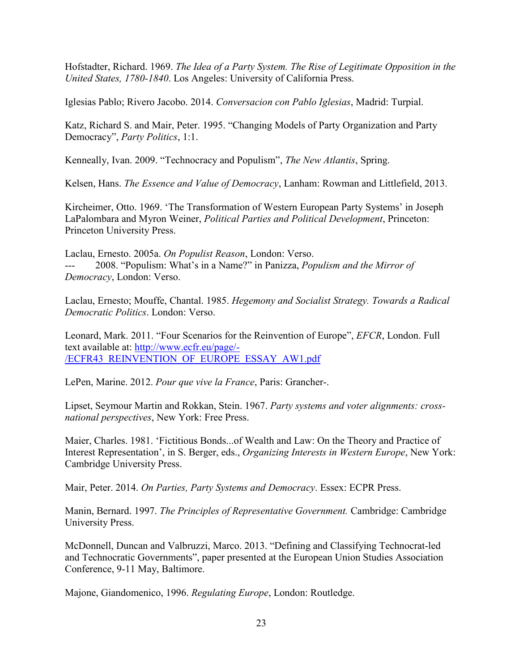Hofstadter, Richard. 1969. *The Idea of a Party System. The Rise of Legitimate Opposition in the United States, 1780-1840*. Los Angeles: University of California Press.

Iglesias Pablo; Rivero Jacobo. 2014. *Conversacion con Pablo Iglesias*, Madrid: Turpial.

Katz, Richard S. and Mair, Peter. 1995. "Changing Models of Party Organization and Party Democracy", *Party Politics*, 1:1.

Kenneally, Ivan. 2009. "Technocracy and Populism", *The New Atlantis*, Spring.

Kelsen, Hans. *The Essence and Value of Democracy*, Lanham: Rowman and Littlefield, 2013.

Kircheimer, Otto. 1969. "The Transformation of Western European Party Systems" in Joseph LaPalombara and Myron Weiner, *Political Parties and Political Development*, Princeton: Princeton University Press.

Laclau, Ernesto. 2005a. *On Populist Reason*, London: Verso. 2008. "Populism: What's in a Name?" in Panizza, *Populism and the Mirror of Democracy*, London: Verso.

Laclau, Ernesto; Mouffe, Chantal. 1985. *Hegemony and Socialist Strategy. Towards a Radical Democratic Politics*. London: Verso.

Leonard, Mark. 2011. "Four Scenarios for the Reinvention of Europe", *EFCR*, London. Full text available at: [http://www.ecfr.eu/page/-](http://www.ecfr.eu/page/-/ECFR43_REINVENTION_OF_EUROPE_ESSAY_AW1.pdf) [/ECFR43\\_REINVENTION\\_OF\\_EUROPE\\_ESSAY\\_AW1.pdf](http://www.ecfr.eu/page/-/ECFR43_REINVENTION_OF_EUROPE_ESSAY_AW1.pdf)

LePen, Marine. 2012. *Pour que vive la France*, Paris: Grancher-.

[Lipset, Seymour Martin](http://en.wikipedia.org/wiki/Seymour_Martin_Lipset) and [Rokkan, Stein.](http://en.wikipedia.org/wiki/Stein_Rokkan) 1967. *Party systems and voter alignments: crossnational perspectives*, New York: Free Press.

Maier, Charles. 1981. "Fictitious Bonds...of Wealth and Law: On the Theory and Practice of Interest Representation", in S. Berger, eds., *Organizing Interests in Western Europe*, New York: Cambridge University Press.

Mair, Peter. 2014. *On Parties, Party Systems and Democracy*. Essex: ECPR Press.

Manin, Bernard. 1997. *The Principles of Representative Government.* Cambridge: Cambridge University Press.

McDonnell, Duncan and Valbruzzi, Marco. 2013. "Defining and Classifying Technocrat-led and Technocratic Governments", paper presented at the European Union Studies Association Conference, 9-11 May, Baltimore.

Majone, Giandomenico, 1996. *Regulating Europe*, London: Routledge.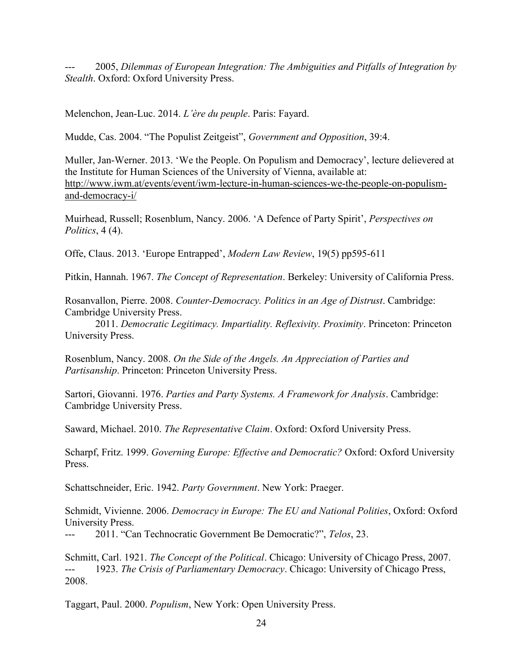2005, *Dilemmas of European Integration: The Ambiguities and Pitfalls of Integration by Stealth*. Oxford: Oxford University Press.

Melenchon, Jean-Luc. 2014. *L'ère du peuple*. Paris: Fayard.

Mudde, Cas. 2004. "The Populist Zeitgeist", *Government and Opposition*, 39:4.

Muller, Jan-Werner. 2013. "We the People. On Populism and Democracy", lecture delievered at the Institute for Human Sciences of the University of Vienna, available at: http://www.iwm.at/events/event/iwm-lecture-in-human-sciences-we-the-people-on-populismand-democracy-i/

Muirhead, Russell; Rosenblum, Nancy. 2006. "A Defence of Party Spirit", *Perspectives on Politics*, 4 (4).

Offe, Claus. 2013. "Europe Entrapped", *Modern Law Review*, 19(5) pp595-611

Pitkin, Hannah. 1967. *The Concept of Representation*. Berkeley: University of California Press.

Rosanvallon, Pierre. 2008. *Counter-Democracy. Politics in an Age of Distrust*. Cambridge: Cambridge University Press.

2011. *Democratic Legitimacy. Impartiality. Reflexivity. Proximity*. Princeton: Princeton University Press.

Rosenblum, Nancy. 2008. *On the Side of the Angels. An Appreciation of Parties and Partisanship*. Princeton: Princeton University Press.

Sartori, Giovanni. 1976. *Parties and Party Systems. A Framework for Analysis*. Cambridge: Cambridge University Press.

Saward, Michael. 2010. *The Representative Claim*. Oxford: Oxford University Press.

Scharpf, Fritz. 1999. *Governing Europe: Effective and Democratic?* Oxford: Oxford University Press.

Schattschneider, Eric. 1942. *Party Government*. New York: Praeger.

Schmidt, Vivienne. 2006. *Democracy in Europe: The EU and National Polities*, Oxford: Oxford University Press.

--- 2011. "Can Technocratic Government Be Democratic?", *Telos*, 23.

Schmitt, Carl. 1921. *The Concept of the Political*. Chicago: University of Chicago Press, 2007. --- 1923. *The Crisis of Parliamentary Democracy*. Chicago: University of Chicago Press, 2008.

Taggart, Paul. 2000. *Populism*, New York: Open University Press.